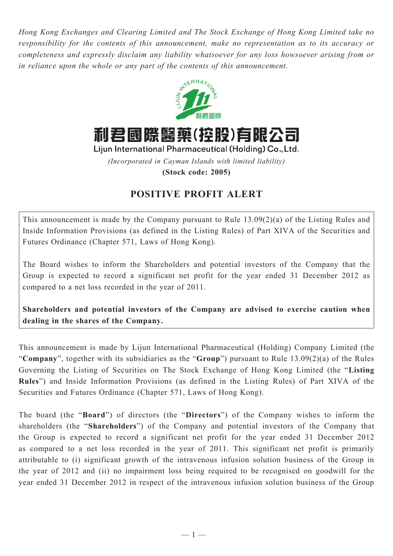*Hong Kong Exchanges and Clearing Limited and The Stock Exchange of Hong Kong Limited take no responsibility for the contents of this announcement, make no representation as to its accuracy or completeness and expressly disclaim any liability whatsoever for any loss howsoever arising from or in reliance upon the whole or any part of the contents of this announcement.*



利君國際醫藥(控股)有限公司

Lijun International Pharmaceutical (Holding) Co., Ltd.

*(Incorporated in Cayman Islands with limited liability)*

**(Stock code: 2005)**

## **POSITIVE PROFIT ALERT**

This announcement is made by the Company pursuant to Rule 13.09(2)(a) of the Listing Rules and Inside Information Provisions (as defined in the Listing Rules) of Part XIVA of the Securities and Futures Ordinance (Chapter 571, Laws of Hong Kong).

The Board wishes to inform the Shareholders and potential investors of the Company that the Group is expected to record a significant net profit for the year ended 31 December 2012 as compared to a net loss recorded in the year of 2011.

**Shareholders and potential investors of the Company are advised to exercise caution when dealing in the shares of the Company.**

This announcement is made by Lijun International Pharmaceutical (Holding) Company Limited (the "**Company**", together with its subsidiaries as the "**Group**") pursuant to Rule 13.09(2)(a) of the Rules Governing the Listing of Securities on The Stock Exchange of Hong Kong Limited (the "**Listing Rules**") and Inside Information Provisions (as defined in the Listing Rules) of Part XIVA of the Securities and Futures Ordinance (Chapter 571, Laws of Hong Kong).

The board (the "**Board**") of directors (the "**Directors**") of the Company wishes to inform the shareholders (the "**Shareholders**") of the Company and potential investors of the Company that the Group is expected to record a significant net profit for the year ended 31 December 2012 as compared to a net loss recorded in the year of 2011. This significant net profit is primarily attributable to (i) significant growth of the intravenous infusion solution business of the Group in the year of 2012 and (ii) no impairment loss being required to be recognised on goodwill for the year ended 31 December 2012 in respect of the intravenous infusion solution business of the Group